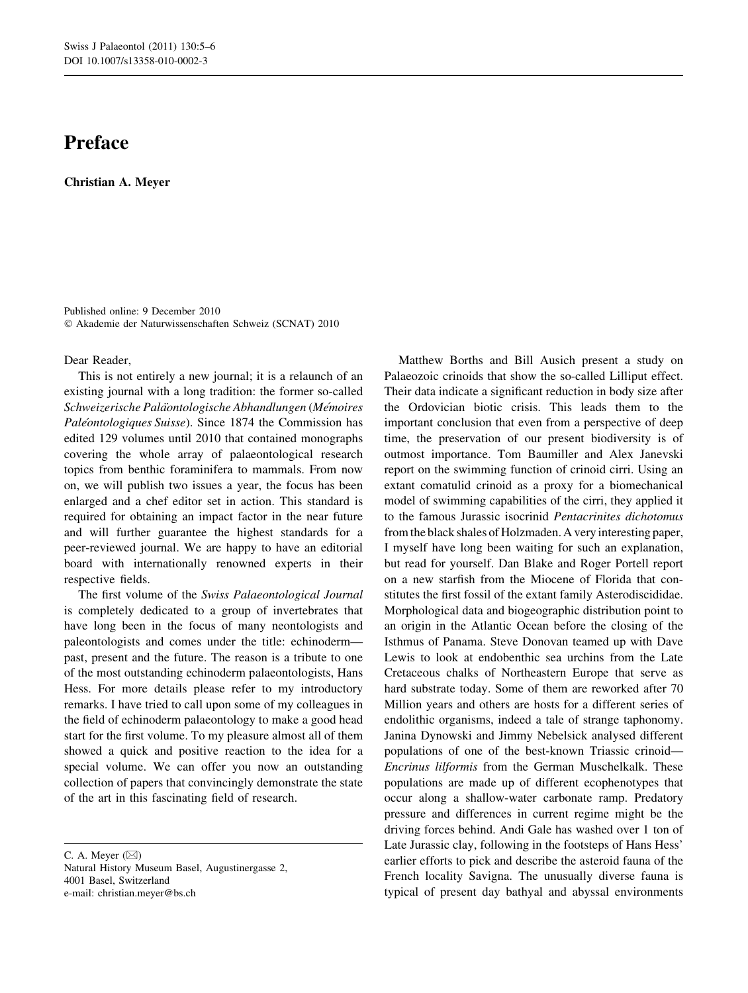## Preface

Christian A. Meyer

Published online: 9 December 2010 - Akademie der Naturwissenschaften Schweiz (SCNAT) 2010

## Dear Reader,

This is not entirely a new journal; it is a relaunch of an existing journal with a long tradition: the former so-called Schweizerische Paläontologische Abhandlungen (Mémoires Pale<sup>ontologiques Suisse</sup>). Since 1874 the Commission has edited 129 volumes until 2010 that contained monographs covering the whole array of palaeontological research topics from benthic foraminifera to mammals. From now on, we will publish two issues a year, the focus has been enlarged and a chef editor set in action. This standard is required for obtaining an impact factor in the near future and will further guarantee the highest standards for a peer-reviewed journal. We are happy to have an editorial board with internationally renowned experts in their respective fields.

The first volume of the Swiss Palaeontological Journal is completely dedicated to a group of invertebrates that have long been in the focus of many neontologists and paleontologists and comes under the title: echinoderm past, present and the future. The reason is a tribute to one of the most outstanding echinoderm palaeontologists, Hans Hess. For more details please refer to my introductory remarks. I have tried to call upon some of my colleagues in the field of echinoderm palaeontology to make a good head start for the first volume. To my pleasure almost all of them showed a quick and positive reaction to the idea for a special volume. We can offer you now an outstanding collection of papers that convincingly demonstrate the state of the art in this fascinating field of research.

C. A. Meyer  $(\boxtimes)$ 

Natural History Museum Basel, Augustinergasse 2, 4001 Basel, Switzerland e-mail: christian.meyer@bs.ch

Matthew Borths and Bill Ausich present a study on Palaeozoic crinoids that show the so-called Lilliput effect. Their data indicate a significant reduction in body size after the Ordovician biotic crisis. This leads them to the important conclusion that even from a perspective of deep time, the preservation of our present biodiversity is of outmost importance. Tom Baumiller and Alex Janevski report on the swimming function of crinoid cirri. Using an extant comatulid crinoid as a proxy for a biomechanical model of swimming capabilities of the cirri, they applied it to the famous Jurassic isocrinid Pentacrinites dichotomus from the black shales of Holzmaden. A very interesting paper, I myself have long been waiting for such an explanation, but read for yourself. Dan Blake and Roger Portell report on a new starfish from the Miocene of Florida that constitutes the first fossil of the extant family Asterodiscididae. Morphological data and biogeographic distribution point to an origin in the Atlantic Ocean before the closing of the Isthmus of Panama. Steve Donovan teamed up with Dave Lewis to look at endobenthic sea urchins from the Late Cretaceous chalks of Northeastern Europe that serve as hard substrate today. Some of them are reworked after 70 Million years and others are hosts for a different series of endolithic organisms, indeed a tale of strange taphonomy. Janina Dynowski and Jimmy Nebelsick analysed different populations of one of the best-known Triassic crinoid— Encrinus lilformis from the German Muschelkalk. These populations are made up of different ecophenotypes that occur along a shallow-water carbonate ramp. Predatory pressure and differences in current regime might be the driving forces behind. Andi Gale has washed over 1 ton of Late Jurassic clay, following in the footsteps of Hans Hess' earlier efforts to pick and describe the asteroid fauna of the French locality Savigna. The unusually diverse fauna is typical of present day bathyal and abyssal environments